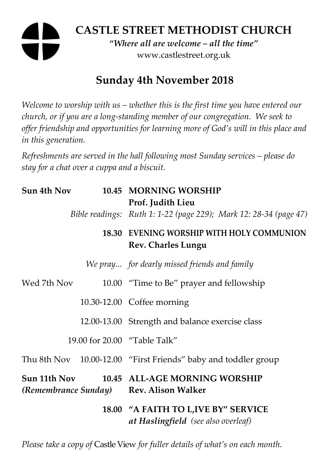# **CASTLE STREET METHODIST CHURCH**

*"Where all are welcome – all the time"*  www.castlestreet.org.uk

# **Sunday 4th November 2018**

*Welcome to worship with us – whether this is the first time you have entered our church, or if you are a long-standing member of our congregation. We seek to offer friendship and opportunities for learning more of God's will in this place and in this generation.* 

*Refreshments are served in the hall following most Sunday services – please do stay for a chat over a cuppa and a biscuit.* 

| Sun 4th Nov                                             |  | 10.45 MORNING WORSHIP<br>Prof. Judith Lieu                                         |
|---------------------------------------------------------|--|------------------------------------------------------------------------------------|
|                                                         |  | Bible readings: Ruth 1: 1-22 (page 229); Mark 12: 28-34 (page 47)                  |
|                                                         |  | 18.30 EVENING WORSHIP WITH HOLY COMMUNION<br><b>Rev. Charles Lungu</b>             |
|                                                         |  | We pray for dearly missed friends and family                                       |
| Wed 7th Nov                                             |  | 10.00 "Time to Be" prayer and fellowship                                           |
|                                                         |  | 10.30-12.00 Coffee morning                                                         |
|                                                         |  | 12.00-13.00 Strength and balance exercise class                                    |
|                                                         |  | 19.00 for 20.00 "Table Talk"                                                       |
|                                                         |  | Thu 8th Nov 10.00-12.00 "First Friends" baby and toddler group                     |
| Sun 11th Nov<br>(Remembrance Sunday) Rev. Alison Walker |  | 10.45 ALL-AGE MORNING WORSHIP                                                      |
|                                                         |  | 18.00 "A FAITH TO L, IVE BY" SERVICE<br><b>at Haslingfield</b> (see also overleaf) |

*Please take a copy of* Castle View *for fuller details of what's on each month.*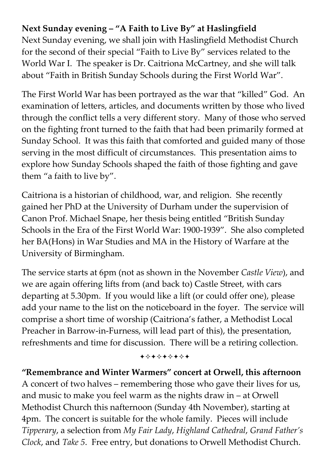## **Next Sunday evening – "A Faith to Live By" at Haslingfield**

Next Sunday evening, we shall join with Haslingfield Methodist Church for the second of their special "Faith to Live By" services related to the World War I. The speaker is Dr. Caitriona McCartney, and she will talk about "Faith in British Sunday Schools during the First World War".

The First World War has been portrayed as the war that "killed" God. An examination of letters, articles, and documents written by those who lived through the conflict tells a very different story. Many of those who served on the fighting front turned to the faith that had been primarily formed at Sunday School. It was this faith that comforted and guided many of those serving in the most difficult of circumstances. This presentation aims to explore how Sunday Schools shaped the faith of those fighting and gave them "a faith to live by".

Caitriona is a historian of childhood, war, and religion. She recently gained her PhD at the University of Durham under the supervision of Canon Prof. Michael Snape, her thesis being entitled "British Sunday Schools in the Era of the First World War: 1900-1939". She also completed her BA(Hons) in War Studies and MA in the History of Warfare at the University of Birmingham.

The service starts at 6pm (not as shown in the November *Castle View*), and we are again offering lifts from (and back to) Castle Street, with cars departing at 5.30pm. If you would like a lift (or could offer one), please add your name to the list on the noticeboard in the foyer. The service will comprise a short time of worship (Caitriona's father, a Methodist Local Preacher in Barrow-in-Furness, will lead part of this), the presentation, refreshments and time for discussion. There will be a retiring collection.

+\*\*\*\*\*\*\*

**"Remembrance and Winter Warmers" concert at Orwell, this afternoon**  A concert of two halves – remembering those who gave their lives for us, and music to make you feel warm as the nights draw in – at Orwell Methodist Church this nafternoon (Sunday 4th November), starting at 4pm. The concert is suitable for the whole family. Pieces will include *Tipperary*, a selection from *My Fair Lady*, *Highland Cathedral*, *Grand Father's Clock*, and *Take 5*. Free entry, but donations to Orwell Methodist Church.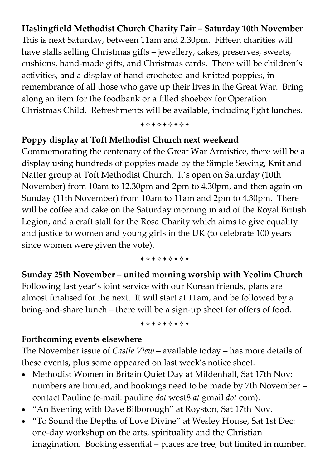### **Haslingfield Methodist Church Charity Fair – Saturday 10th November**

This is next Saturday, between 11am and 2.30pm. Fifteen charities will have stalls selling Christmas gifts – jewellery, cakes, preserves, sweets, cushions, hand-made gifts, and Christmas cards. There will be children's activities, and a display of hand-crocheted and knitted poppies, in remembrance of all those who gave up their lives in the Great War. Bring along an item for the foodbank or a filled shoebox for Operation Christmas Child. Refreshments will be available, including light lunches.

+\*\*\*\*\*\*\*

#### **Poppy display at Toft Methodist Church next weekend**

Commemorating the centenary of the Great War Armistice, there will be a display using hundreds of poppies made by the Simple Sewing, Knit and Natter group at Toft Methodist Church. It's open on Saturday (10th November) from 10am to 12.30pm and 2pm to 4.30pm, and then again on Sunday (11th November) from 10am to 11am and 2pm to 4.30pm. There will be coffee and cake on the Saturday morning in aid of the Royal British Legion, and a craft stall for the Rosa Charity which aims to give equality and justice to women and young girls in the UK (to celebrate 100 years since women were given the vote).

+\*\*\*\*\*\*\*

**Sunday 25th November – united morning worship with Yeolim Church**  Following last year's joint service with our Korean friends, plans are almost finalised for the next. It will start at 11am, and be followed by a bring-and-share lunch – there will be a sign-up sheet for offers of food.

#### +\*\*\*\*\*\*\*

#### **Forthcoming events elsewhere**

The November issue of *Castle View* – available today – has more details of these events, plus some appeared on last week's notice sheet.

- Methodist Women in Britain Quiet Day at Mildenhall, Sat 17th Nov: numbers are limited, and bookings need to be made by 7th November – contact Pauline (e-mail: pauline *dot* west8 *at* gmail *dot* com).
- "An Evening with Dave Bilborough" at Royston, Sat 17th Nov.
- "To Sound the Depths of Love Divine" at Wesley House, Sat 1st Dec: one-day workshop on the arts, spirituality and the Christian imagination. Booking essential – places are free, but limited in number.